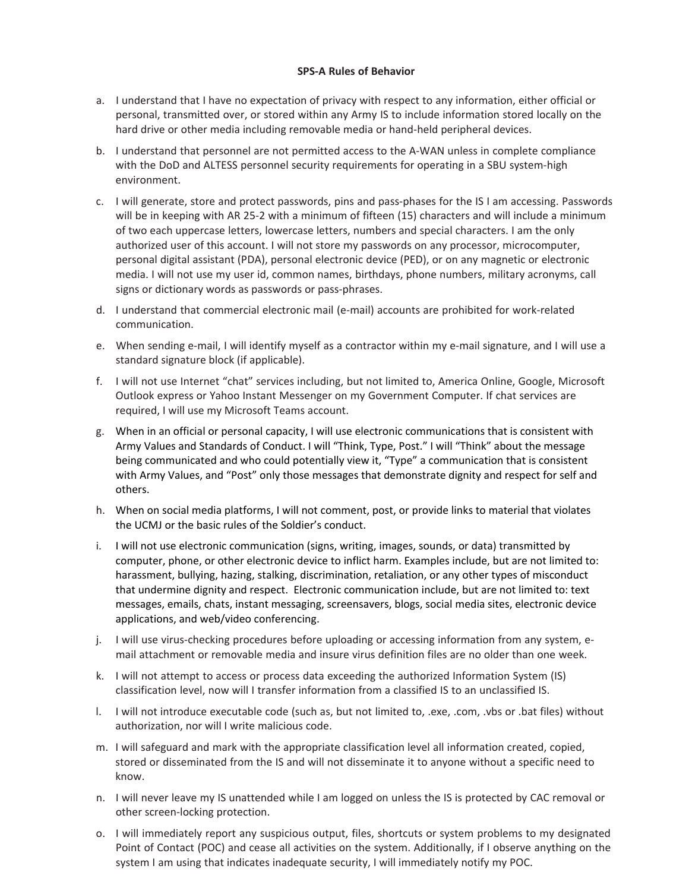## **SPS-A Rules of Behavior**

- a. I understand that I have no expectation of privacy with respect to any information, either official or personal, transmitted over, or stored within any Army IS to include information stored locally on the hard drive or other media including removable media or hand-held peripheral devices.
- b. I understand that personnel are not permitted access to the A-WAN unless in complete compliance with the DoD and ALTESS personnel security requirements for operating in a SBU system-high environment.
- c. I will generate, store and protect passwords, pins and pass-phases for the IS I am accessing. Passwords will be in keeping with AR 25-2 with a minimum of fifteen (15) characters and will include a minimum of two each uppercase letters, lowercase letters, numbers and special characters. I am the only authorized user of this account. I will not store my passwords on any processor, microcomputer, personal digital assistant (PDA), personal electronic device (PED), or on any magnetic or electronic media. I will not use my user id, common names, birthdays, phone numbers, military acronyms, call signs or dictionary words as passwords or pass-phrases.
- d. I understand that commercial electronic mail (e-mail) accounts are prohibited for work-related communication.
- e. When sending e-mail, I will identify myself as a contractor within my e-mail signature, and I will use a standard signature block (if applicable).
- f. I will not use Internet "chat" services including, but not limited to, America Online, Google, Microsoft Outlook express or Yahoo Instant Messenger on my Government Computer. If chat services are required, I will use my Microsoft Teams account.
- g. When in an official or personal capacity, I will use electronic communications that is consistent with Army Values and Standards of Conduct. I will "Think, Type, Post." I will "Think" about the message being communicated and who could potentially view it, "Type" a communication that is consistent with Army Values, and "Post" only those messages that demonstrate dignity and respect for self and others.
- h. When on social media platforms, I will not comment, post, or provide links to material that violates the UCMJ or the basic rules of the Soldier's conduct.
- i. I will not use electronic communication (signs, writing, images, sounds, or data) transmitted by computer, phone, or other electronic device to inflict harm. Examples include, but are not limited to: harassment, bullying, hazing, stalking, discrimination, retaliation, or any other types of misconduct that undermine dignity and respect. Electronic communication include, but are not limited to: text messages, emails, chats, instant messaging, screensavers, blogs, social media sites, electronic device applications, and web/video conferencing.
- j. I will use virus-checking procedures before uploading or accessing information from any system, email attachment or removable media and insure virus definition files are no older than one week.
- k. I will not attempt to access or process data exceeding the authorized Information System (IS) classification level, now will I transfer information from a classified IS to an unclassified IS.
- l. I will not introduce executable code (such as, but not limited to, .exe, .com, .vbs or .bat files) without authorization, nor will I write malicious code.
- m. I will safeguard and mark with the appropriate classification level all information created, copied, stored or disseminated from the IS and will not disseminate it to anyone without a specific need to know.
- n. I will never leave my IS unattended while I am logged on unless the IS is protected by CAC removal or other screen-locking protection.
- o. I will immediately report any suspicious output, files, shortcuts or system problems to my designated Point of Contact (POC) and cease all activities on the system. Additionally, if I observe anything on the system I am using that indicates inadequate security, I will immediately notify my POC.